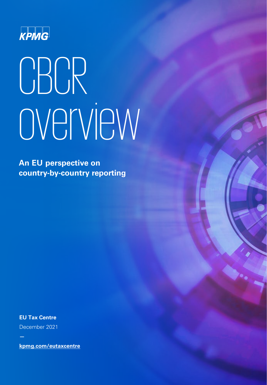

# **CBCR** overview

**An EU perspective on country-by-country reporting**

**EU Tax Centre**

December 2021

**kpmg.com/eutaxcentre**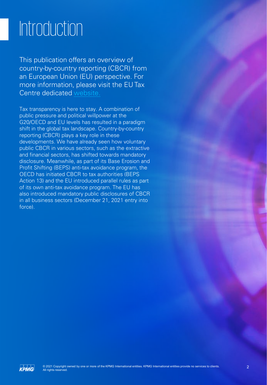### Introduction

This publication offers an overview of country-by-country reporting (CBCR) from an European Union (EU) perspective. For more information, please visit the EU Tax Centre dedicated [website](https://home.kpmg/xx/en/home/services/tax/regional-tax-centers/eu-tax-centre/country-by-country-reporting.html).

Tax transparency is here to stay. A combination of public pressure and political willpower at the G20/OECD and EU levels has resulted in a paradigm shift in the global tax landscape. Country-by-country reporting (CBCR) plays a key role in these developments. We have already seen how voluntary public CBCR in various sectors, such as the extractive and financial sectors, has shifted towards mandatory disclosure. Meanwhile, as part of its Base Erosion and Profit Shifting (BEPS) anti-tax avoidance program, the OECD has initiated CBCR to tax authorities (BEPS Action 13) and the EU introduced parallel rules as part of its own anti-tax avoidance program. The EU has also introduced mandatory public disclosures of CBCR in all business sectors (December 21, 2021 entry into force).

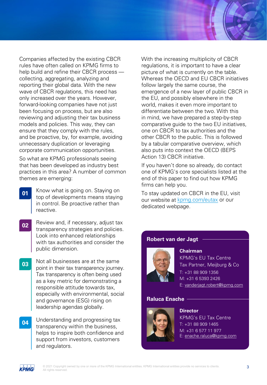Companies affected by the existing CBCR rules have often called on KPMG firms to help build and refine their CBCR process collecting, aggregating, analyzing and reporting their global data. With the new wave of CBCR regulations, this need has only increased over the years. However, forward-looking companies have not just been focusing on process, but are also reviewing and adjusting their tax business models and policies. This way, they can ensure that they comply with the rules, and be proactive, by, for example, avoiding unnecessary duplication or leveraging corporate communication opportunities.

So what are KPMG professionals seeing that has been developed as industry best practices in this area? A number of common themes are emerging:

- Know what is going on. Staying on top of developments means staying in control. Be proactive rather than reactive. **01**
- Review and, if necessary, adjust tax transparency strategies and policies. Look into enhanced relationships with tax authorities and consider the public dimension. **02**
- Not all businesses are at the same point in their tax transparency journey. Tax transparency is often being used as a key metric for demonstrating a responsible attitude towards tax, especially with environmental, social and governance (ESG) rising on leadership agendas globally. **03**
- Understanding and progressing tax transparency within the business, helps to inspire both confidence and support from investors, customers and regulators. **04**

With the increasing multiplicity of CBCR regulations, it is important to have a clear picture of what is currently on the table. Whereas the OECD and EU CBCR initiatives follow largely the same course, the emergence of a new layer of public CBCR in the EU, and possibly elsewhere in the world, makes it even more important to differentiate between the two. With this in mind, we have prepared a step-by-step comparative guide to the two EU initiatives, one on CBCR to tax authorities and the other CBCR to the public. This is followed by a tabular comparative overview, which also puts into context the OECD (BEPS Action 13) CBCR initiative.

If you haven't done so already, do contact one of KPMG's core specialists listed at the end of this paper to find out how KPMG firms can help you.

To stay updated on CBCR in the EU, visit our website at [kpmg.com/eutax](https://home.kpmg/xx/en/home/services/tax/regional-tax-centers/eu-tax-centre.html) or our dedicated webpage.

#### **Robert van der Jagt**



#### **Chairman**

**Director**

KPMG's EU Tax Centre Tax Partner, Meijburg & Co T: +31 88 909 1356 M: +31 6 5393 2426 E: [vanderjagt.robert@kpmg.com](mailto:vanderjagt.robert@kpmg.com)

#### **Raluca Enache**



KPMG's EU Tax Centre T: +31 88 909 1465 M: +31 6 577 11 977 E: [enache.raluca@kpmg.com](mailto:enache.raluca@kpmg.com)

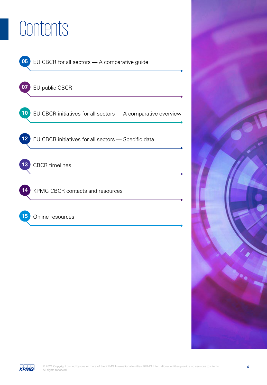### **Contents**





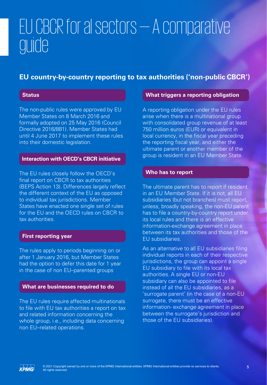### EU CBCR for al sectors — A comparative guide

#### **EU country-by-country reporting to tax authorities ('non-public CBCR')**

#### **Status**

The non-public rules were approved by EU Member States on 8 March 2016 and formally adopted on 25 May 2016 (Council Directive 2016/881). Member States had until 4 June 2017 to implement these rules into their domestic legislation.

#### **Interaction with OECD's CBCR initiative**

The EU rules closely follow the OECD's final report on CBCR to tax authorities (BEPS Action 13). Differences largely reflect the different context of the EU as opposed to individual tax jurisdictions. Member States have enacted one single set of rules for the EU and the OECD rules on CBCR to tax authorities.

#### **First reporting year**

The rules apply to periods beginning on or after 1 January 2016, but Member States had the option to defer this date for 1 year in the case of non EU–parented groups

#### **What are businesses required to do**

The EU rules require affected multinationals to file with EU tax authorities a report on tax and related information concerning the whole group, i.e., including data concerning non EU–related operations.

#### **What triggers a reporting obligation**

A reporting obligation under the EU rules arise when there is a multinational group with consolidated group revenue of at least 750 million euros (EUR) or equivalent in local currency, in the fiscal year preceding the reporting fiscal year, and either the ultimate parent or another member of the group is resident in an EU Member State.

#### **Who has to report**

The ultimate parent has to report if resident in an EU Member State. If it is not, all EU subsidiaries (but not branches) must report, unless, broadly speaking, the non-EU parent has to file a country-by-country report under its local rules and there is an effective information-exchange agreement in place between its tax authorities and those of the EU subsidiaries.

As an alternative to all EU subsidiaries filing individual reports in each of their respective jurisdictions, the group can appoint a single EU subsidiary to file with its local tax authorities. A single EU or non-EU subsidiary can also be appointed to file instead of all the EU subsidiaries, as a 'surrogate parent' (in the case of a non-EU surrogate, there must be an effective information- exchange agreement in place between the surrogate's jurisdiction and those of the EU subsidiaries).

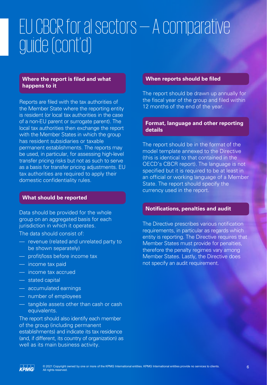### EU CBCR for al sectors — A comparative guide (cont'd)

#### **Where the report is filed and what happens to it**

Reports are filed with the tax authorities of the Member State where the reporting entity is resident (or local tax authorities in the case of a non-EU parent or surrogate parent). The local tax authorities then exchange the report with the Member States in which the group has resident subsidiaries or taxable permanent establishments. The reports may be used, in particular, for assessing high-level transfer pricing risks but not as such to serve as a basis for transfer pricing adjustments. EU tax authorities are required to apply their domestic confidentiality rules.

#### **What should be reported**

Data should be provided for the whole group on an aggregated basis for each jurisdiction in which it operates.

The data should consist of:

- revenue (related and unrelated party to be shown separately)
- profit/loss before income tax
- income tax paid
- income tax accrued
- stated capital
- accumulated earnings
- number of employees
- tangible assets other than cash or cash equivalents.

The report should also identify each member of the group (including permanent establishments) and indicate its tax residence (and, if different, its country of organization) as well as its main business activity.

#### **When reports should be filed**

The report should be drawn up annually for the fiscal year of the group and filed within 12 months of the end of the year.

#### **Format, language and other reporting details**

The report should be in the format of the model template annexed to the Directive (this is identical to that contained in the OECD's CBCR report). The language is not specified but it is required to be at least in an official or working language of a Member State. The report should specify the currency used in the report.

#### **Notifications, penalties and audit**

The Directive prescribes various notification requirements, in particular as regards which entity is reporting. The Directive requires that Member States must provide for penalties, therefore the penalty regimes vary among Member States. Lastly, the Directive does not specify an audit requirement.

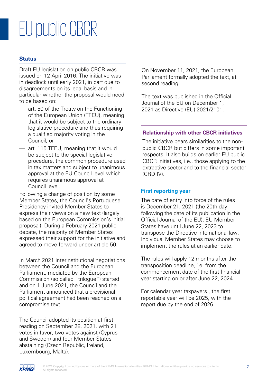### EU public CBCR

#### **Status**

Draft EU legislation on public CBCR was issued on 12 April 2016. The initiative was in deadlock until early 2021, in part due to disagreements on its legal basis and in particular whether the proposal would need to be based on:

- art. 50 of the Treaty on the Functioning of the European Union (TFEU), meaning that it would be subject to the ordinary legislative procedure and thus requiring a qualified majority voting in the Council, or
- art. 115 TFEU, meaning that it would be subject to the special legislative procedure, the common procedure used in tax matters and subject to unanimous approval at the EU Council level which requires unanimous approval at Council level.

Following a change of position by some Member States, the Council's Portuguese Presidency invited Member States to express their views on a new text (largely based on the European Commission's initial proposal). During a February 2021 public debate, the majority of Member States expressed their support for the initiative and agreed to move forward under article 50.

In March 2021 interinstitutional negotiations between the Council and the European Parliament, mediated by the European Commission (so called "trilogue") started and on 1 June 2021, the Council and the Parliament announced that a provisional political agreement had been reached on a compromise text.

The Council adopted its position at first reading on September 28, 2021, with 21 votes in favor, two votes against (Cyprus and Sweden) and four Member States abstaining (Czech Republic, Ireland, Luxembourg, Malta).

On November 11, 2021, the European Parliament formally adopted the text, at second reading.

The text was published in the Official Journal of the EU on December 1, 2021 as Directive (EU) 2021/2101.

#### **Relationship with other CBCR initiatives**

The initiative bears similarities to the nonpublic CBCR but differs in some important respects. It also builds on earlier EU public CBCR initiatives, i.e., those applying to the extractive sector and to the financial sector (CRD IV).

#### **First reporting year**

The date of entry into force of the rules is December 21, 2021 (the 20th day following the date of its publication in the Official Journal of the EU). EU Member States have until June 22, 2023 to transpose the Directive into national law. Individual Member States may choose to implement the rules at an earlier date.

The rules will apply 12 months after the transposition deadline, i.e. from the commencement date of the first financial year starting on or after June 22, 2024.

For calendar year taxpayers , the first reportable year will be 2025, with the report due by the end of 2026.

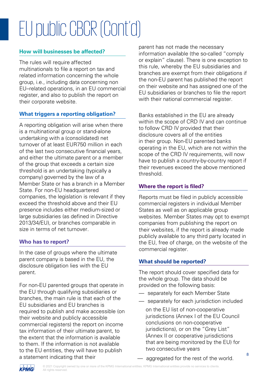# EU public CBCR (Cont'd)

#### **How will businesses be affected?**

The rules will require affected multinationals to file a report on tax and related information concerning the whole group, i.e., including data concerning non EU–related operations, in an EU commercial register, and also to publish the report on their corporate website.

#### **What triggers a reporting obligation?**

A reporting obligation will arise when there is a multinational group or stand-alone undertaking with a (consolidated) net turnover of at least EUR750 million in each of the last two consecutive financial years, and either the ultimate parent or a member of the group that exceeds a certain size threshold is an undertaking (typically a company) governed by the law of a Member State or has a branch in a Member State. For non-EU headquartered companies, the legislation is relevant if they exceed the threshold above and their EU presence includes either medium-sized or large subsidiaries (as defined in Directive 2013/34/EU), or branches comparable in size in terms of net turnover.

#### **Who has to report?**

In the case of groups where the ultimate parent company is based in the EU, the disclosure obligation lies with the EU parent.

For non-EU parented groups that operate in the EU through qualifying subsidiaries or branches, the main rule is that each of the EU subsidiaries and EU branches is required to publish and make accessible (on their website and publicly accessible commercial registers) the report on income tax information of their ultimate parent, to the extent that the information is available to them. If the information is not available to the EU entities, they will have to publish a statement indicating that their

parent has not made the necessary information available (the so-called "comply or explain" clause). There is one exception to this rule, whereby the EU subsidiaries and branches are exempt from their obligations if the non-EU parent has published the report on their website and has assigned one of the EU subsidiaries or branches to file the report with their national commercial register.

Banks established in the EU are already within the scope of CRD IV and can continue to follow CRD IV provided that their disclosure covers all of the entities in their group. Non-EU parented banks operating in the EU, which are not within the scope of the CRD IV requirements, will now have to publish a country-by-country report if their revenues exceed the above mentioned threshold.

#### **Where the report is filed?**

Reports must be filed in publicly accessible commercial registers in individual Member States as well as on applicable group websites. Member States may opt to exempt companies from publishing the report on their websites, if the report is already made publicly available to any third party located in the EU, free of charge, on the website of the commercial register.

#### **What should be reported?**

The report should cover specified data for the whole group. The data should be provided on the following basis:

- separately for each Member State
- separately for each jurisdiction included
	- on the EU list of non-cooperative jurisdictions (Annex I of the EU Council conclusions on non-cooperative jurisdictions), or on the "Grey List" (Annex II or cooperative jurisdictions that are being monitored by the EU) for two consecutive years

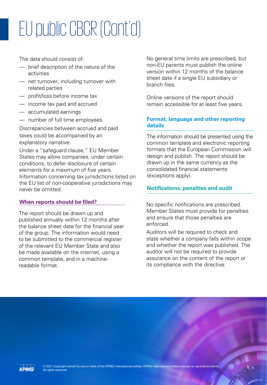# EU public CBCR (Cont'd)

The data should consist of:

- brief description of the nature of the activities
- net turnover, including turnover with related parties
- profit/loss before income tax
- income tax paid and accrued
- accumulated earnings
- number of full time employees.

Discrepancies between accrued and paid taxes could be accompanied by an explanatory narrative.

Under a "safeguard clause," EU Member States may allow companies, under certain conditions, to defer disclosure of certain elements for a maximum of five years. Information concerning tax jurisdictions listed on the EU list of non-cooperative jurisdictions may never be omitted.

#### **When reports should be filed?**

The report should be drawn up and published annually within 12 months after the balance sheet date for the financial year of the group. The information would need to be submitted to the commercial register of the relevant EU Member State and also be made available on the internet, using a common template, and in a machinereadable format.

No general time limits are prescribed, but non-EU parents must publish the online version within 12 months of the balance sheet date if a single EU subsidiary or branch files.

Online versions of the report should remain accessible for at least five years.

#### **Format, language and other reporting details**

The information should be presented using the common template and electronic reporting formats that the European Commission will design and publish. The report should be drawn up in the same currency as the consolidated financial statements (exceptions apply).

#### **Notifications, penalties and audit**

No specific notifications are prescribed. Member States must provide for penalties and ensure that those penalties are enforced.

Auditors will be required to check and state whether a company falls within scope and whether the report was published. The auditor will not be required to provide assurance on the content of the report or its compliance with the directive.

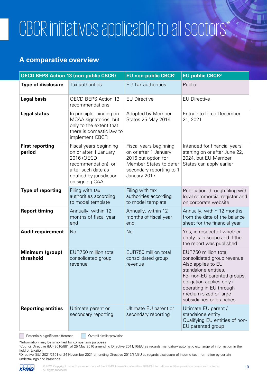## CBCR initiatives applicable to all sectors\*

#### **A comparative overview**

|                                  | <b>OECD BEPS Action 13 (non-public CBCR)</b>                                                                                                             | <b>EU non-public CBCR1</b>                                                                                                                   | <b>EU public CBCR2</b>                                                                                                                                                                                                                         |
|----------------------------------|----------------------------------------------------------------------------------------------------------------------------------------------------------|----------------------------------------------------------------------------------------------------------------------------------------------|------------------------------------------------------------------------------------------------------------------------------------------------------------------------------------------------------------------------------------------------|
| <b>Type of disclosure</b>        | Tax authorities                                                                                                                                          | <b>EU Tax authorities</b>                                                                                                                    | Public                                                                                                                                                                                                                                         |
| <b>Legal basis</b>               | <b>OECD BEPS Action 13</b><br>recommendations                                                                                                            | <b>EU Directive</b>                                                                                                                          | <b>EU Directive</b>                                                                                                                                                                                                                            |
| <b>Legal status</b>              | In principle, binding on<br>MCAA signatories, but<br>only to the extent that<br>there is domestic law to<br>implement CBCR                               | Adopted by Member<br><b>States 25 May 2016</b>                                                                                               | Entry into force: December<br>21, 2021                                                                                                                                                                                                         |
| <b>First reporting</b><br>period | Fiscal years beginning<br>on or after 1 January<br>2016 (OECD<br>recommendation), or<br>after such date as<br>notified by jurisdiction<br>on signing CAA | Fiscal years beginning<br>on or after 1 January<br>2016 but option for<br>Member States to defer<br>secondary reporting to 1<br>January 2017 | Intended for financial years<br>starting on or after June 22,<br>2024, but EU Member<br>States can apply earlier                                                                                                                               |
| <b>Type of reporting</b>         | Filing with tax<br>authorities according<br>to model template                                                                                            | Filing with tax<br>authorities according<br>to model template                                                                                | Publication through filing with<br>local commercial register and<br>on corporate website                                                                                                                                                       |
| <b>Report timing</b>             | Annually, within 12<br>months of fiscal year<br>end                                                                                                      | Annually, within 12<br>months of fiscal year<br>end                                                                                          | Annually, within 12 months<br>from the date of the balance<br>sheet for the financial year                                                                                                                                                     |
| <b>Audit requirement</b>         | No                                                                                                                                                       | No                                                                                                                                           | Yes, in respect of whether<br>entity is in scope and if the<br>the report was published                                                                                                                                                        |
| Minimum (group)<br>threshold     | EUR750 million total<br>consolidated group<br>revenue                                                                                                    | EUR750 million total<br>consolidated group<br>revenue                                                                                        | EUR750 million total<br>consolidated group revenue.<br>Also applies to EU<br>standalone entities.<br>For non-EU parented groups,<br>obligation applies only if<br>operating in EU through<br>medium-sized or large<br>subsidiaries or branches |
| <b>Reporting entities</b>        | Ultimate parent or<br>secondary reporting                                                                                                                | Ultimate EU parent or<br>secondary reporting                                                                                                 | Ultimate EU parent /<br>standalone entity<br>Qualifying EU entities of non-<br>EU parented group                                                                                                                                               |

Potentially significant difference **Overall similar provision** 

\*Information may be simplified for comparison purposes

<sup>1</sup>Council Directive (EU) 2016/881 of 25 May 2016 amending Directive 2011/16/EU as regards mandatory automatic exchange of information in the field of taxation

²Directive (EU) 2021/2101 of 24 November 2021 amending Directive 2013/34/EU as regards disclosure of income tax information by certain undertakings and branches

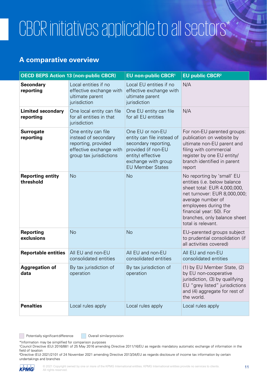### CBCR initiatives applicable to all sectors\*

#### **A comparative overview**

|                                       | <b>OECD BEPS Action 13 (non-public CBCR)</b>                                                                             | <b>EU non-public CBCR1</b>                                                                                                                                           | <b>EU public CBCR<sup>2</sup></b>                                                                                                                                                                                                                        |
|---------------------------------------|--------------------------------------------------------------------------------------------------------------------------|----------------------------------------------------------------------------------------------------------------------------------------------------------------------|----------------------------------------------------------------------------------------------------------------------------------------------------------------------------------------------------------------------------------------------------------|
| <b>Secondary</b><br>reporting         | Local entities if no<br>effective exchange with<br>ultimate parent<br>jurisdiction                                       | Local EU entities if no<br>effective exchange with<br>ultimate parent<br>jurisdiction                                                                                | N/A                                                                                                                                                                                                                                                      |
| <b>Limited secondary</b><br>reporting | One local entity can file<br>for all entities in that<br>jurisdiction                                                    | One EU entity can file<br>for all EU entities                                                                                                                        | N/A                                                                                                                                                                                                                                                      |
| <b>Surrogate</b><br>reporting         | One entity can file<br>instead of secondary<br>reporting, provided<br>effective exchange with<br>group tax jurisdictions | One EU or non-EU<br>entity can file instead of<br>secondary reporting,<br>provided (if non-EU<br>entity) effective<br>exchange with group<br><b>EU Member States</b> | For non-EU parented groups:<br>publication on website by<br>ultimate non-EU parent and<br>filing with commercial<br>register by one EU entity/<br>branch identified in parent<br>report                                                                  |
| <b>Reporting entity</b><br>threshold  | <b>No</b>                                                                                                                | <b>No</b>                                                                                                                                                            | No reporting by 'small' EU<br>entities (i.e. below balance<br>sheet total: EUR 4,000,000,<br>net turnover: EUR 8,000,000;<br>average number of<br>employees during the<br>financial year: 50). For<br>branches, only balance sheet<br>total is relevant. |
| <b>Reporting</b><br>exclusions        | <b>No</b>                                                                                                                | <b>No</b>                                                                                                                                                            | EU-parented groups subject<br>to prudential consolidation (if<br>all activities covered)                                                                                                                                                                 |
| <b>Reportable entities</b>            | All EU and non-EU<br>consolidated entities                                                                               | All EU and non-EU<br>consolidated entities                                                                                                                           | All EU and non-EU<br>consolidated entities                                                                                                                                                                                                               |
| <b>Aggregation of</b><br>data         | By tax jurisdiction of<br>operation                                                                                      | By tax jurisdiction of<br>operation                                                                                                                                  | (1) by EU Member State, (2)<br>by EU non-cooperative<br>jurisdiction, (3) by qualifying<br>EU "grey listed" jurisdictions<br>and (4) aggregate for rest of<br>the world.                                                                                 |
| <b>Penalties</b>                      | Local rules apply                                                                                                        | Local rules apply                                                                                                                                                    | Local rules apply                                                                                                                                                                                                                                        |

Potentially significant difference **Overall similar provision** 

\*Information may be simplified for comparison purposes

<sup>1</sup>Council Directive (EU) 2016/881 of 25 May 2016 amending Directive 2011/16/EU as regards mandatory automatic exchange of information in the field of taxation

²Directive (EU) 2021/2101 of 24 November 2021 amending Directive 2013/34/EU as regards disclosure of income tax information by certain undertakings and branches

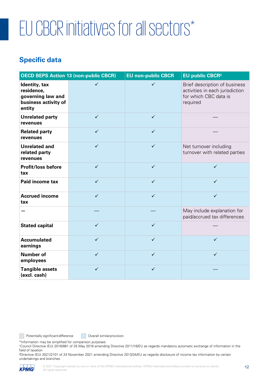# EU CBCR initiatives for all sectors\*

#### **Specific data**

| <b>OECD BEPS Action 13 (non-public CBCR)</b>                                       |              | <b>EU non-public CBCR</b> | <b>EU public CBCR<sup>2</sup></b>                                                                     |
|------------------------------------------------------------------------------------|--------------|---------------------------|-------------------------------------------------------------------------------------------------------|
| Identity, tax<br>residence,<br>governing law and<br>business activity of<br>entity | $\checkmark$ | $\checkmark$              | Brief description of business<br>activities in each jurisdiction<br>for which CBC data is<br>required |
| <b>Unrelated party</b><br>revenues                                                 | $\checkmark$ | $\checkmark$              |                                                                                                       |
| <b>Related party</b><br>revenues                                                   | $\checkmark$ | $\checkmark$              |                                                                                                       |
| <b>Unrelated and</b><br>related party<br>revenues                                  | $\checkmark$ | $\checkmark$              | Net turnover including<br>turnover with related parties                                               |
| <b>Profit/loss before</b><br>tax                                                   | $\checkmark$ | $\checkmark$              | $\checkmark$                                                                                          |
| Paid income tax                                                                    | $\checkmark$ | $\checkmark$              | $\checkmark$                                                                                          |
| <b>Accrued income</b><br>tax                                                       | $\checkmark$ | $\checkmark$              | $\checkmark$                                                                                          |
|                                                                                    |              |                           | May include explanation for<br>paid/accrued tax differences                                           |
| <b>Stated capital</b>                                                              | $\checkmark$ | $\checkmark$              |                                                                                                       |
| <b>Accumulated</b><br>earnings                                                     | $\checkmark$ | $\checkmark$              | ✓                                                                                                     |
| <b>Number of</b><br>employees                                                      | $\checkmark$ | $\checkmark$              | $\checkmark$                                                                                          |
| <b>Tangible assets</b><br>(excl. cash)                                             | $\checkmark$ | $\checkmark$              |                                                                                                       |

Potentially significant difference **Overall similar provision** 

\*Information may be simplified for comparison purposes

<sup>1</sup>Council Directive (EU) 2016/881 of 25 May 2016 amending Directive 2011/16/EU as regards mandatory automatic exchange of information in the field of taxation

²Directive (EU) 2021/2101 of 24 November 2021 amending Directive 2013/34/EU as regards disclosure of income tax information by certain undertakings and branches



 $\mathcal{L}^{\mathcal{L}}$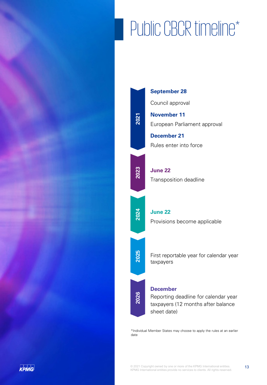# Public CBCR timeline\*



\*Individual Member States may choose to apply the rules at an earlier

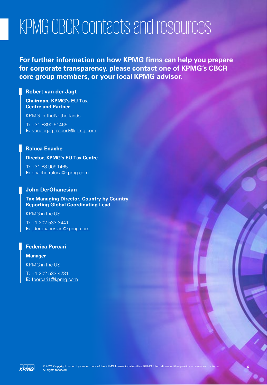### KPMG CBCR contacts and resources

**For further information on how KPMG firms can help you prepare for corporate transparency, please contact one of KPMG's CBCR core group members, or your local KPMG advisor.**

#### **Robert van der Jagt**

**Chairman, KPMG's EU Tax Centre and Partner**

KPMG in theNetherlands

**T:** +31 8890 91465 **E:** [vanderjagt.robert@kpmg.com](mailto:vanderjagt.robert@kpmg.com)

#### **Raluca Enache**

#### **Director, KPMG's EU Tax Centre**

**T:** +31 88 9091465 **E:** [enache.raluca@kpmg.com](mailto:enache.raluca@kpmg.com)

#### **John DerOhanesian**

**Tax Managing Director, Country by Country Reporting Global Coordinating Lead**

KPMG in the US

**T:** +1 202 533 3441 **E:** [jderohanesian@kpmg.com](mailto:jderohanesian@kpmg.com)

#### **Federica Porcari**

**Manager** KPMG in the US

**T:** +1 202 533 4731 **E:** [fporcari1@kpmg.com](mailto:fporcari1@kpmg.com)

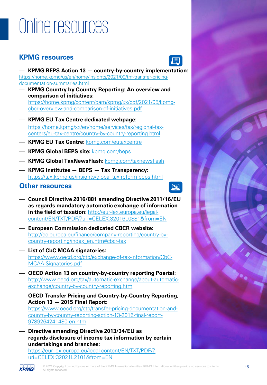### Online resources

#### **KPMG resources**



— **KPMG BEPS Action 13 — country-by-country implementation:**  [https://home.kpmg/us/en/home/insights/2021/09/tnf-transfer-pricing](https://home.kpmg/us/en/home/insights/2021/09/tnf-transfer-pricing-documentation-summaries.html)documentation-summaries.html

- **KPMG Country by Country Reporting: An overview and comparison of initiatives:**  [https://home.kpmg/content/dam/kpmg/xx/pdf/2021/05/kpmg](https://home.kpmg/content/dam/kpmg/xx/pdf/2021/05/kpmg-cbcr-overview-and-comparison-of-initiatives.pdf)cbcr-overview-and-comparison-of-initiatives.pdf
- **KPMG EU Tax Centre dedicated webpage:** https://home.kpmg/xx/en/home/services/tax/regional-taxcenters/eu-tax-centre/country-by-country-reporting.html
- **KPMG EU Tax Centre:** [kpmg.com/eutaxcentre](http://www.kpmg.com/eutaxcentre)
- **KPMG Global BEPS site:** [kpmg.com/beps](http://www.kpmg.com/beps)
- **KPMG Global TaxNewsFlash:** [kpmg.com/taxnewsflash](http://www.kpmg.com/taxnewsflash)
- **KPMG Institutes — BEPS — Tax Transparency:**  <https://tax.kpmg.us/insights/global-tax-reform-beps.html>

#### **Other resources**



— **[Council Directive 2016/881 amending Directive 2011/1](http://eur-lex.europa.eu/legal-content/EN/TXT/PDF/?uri=CELEX:32016L0881&from=EN)6/EU as regards mandatory automatic exchange of information in the field of taxation:** http://eur-lex.europa.eu/legal[content/EN/TXT/PDF/?uri=CELEX:32016L0881&from=EN](http://ec.europa.eu/finance/company-reporting/country-by-country-reporting/index_en.htm#cbcr-tax)

- **European Commission dedicated CBCR website:**  http://ec.europa.eu/finance/company-reporting/country-by[country-reporting/index\\_en.htm#cbcr-tax](https://www.oecd.org/ctp/exchange-of-tax-information/CbC-MCAA-Signatories.pdf)
- **List of CbC MCAA signatories:**  https://www.oecd.org/ctp/exchange-of-tax-information/CbC-MCAA-Signatories.pdf
- **[OECD Action 13 on country-by-country reporting Poertal:](http://www.oecd.org/tax/automatic-exchange/about-automatic-exchange/country-by-country-reporting.htm)**  http://www.oecd.org/tax/automatic-exchange/about-automaticexchange/country-by-country-reporting.htm
- **[OECD Transfer Pricing and Country-by-Country Reporting,](https://www.oecd.org/ctp/transfer-pricing-documentation-and-country-by-country-reporting-action-13-2015-final-report-%20%209789264241480-en.htm) Action 13 — 2015 Final Report:**  https://www.oecd.org/ctp/transfer-pricing-documentation-andcountry-by-country-reporting-action-13-2015-final-report-9789264241480-en.htm
- **Directive amending Directive 2013/34/EU as [regards disclosure of income tax information by certain](https://www.europarl.europa.eu/meetdocs/2014_2019/plmrep/COMMITTEES/CJ29/AG/2021/06-14/1233921EN.pdf) undertakings and branches:**  https://eur-lex.europa.eu/legal-content/EN/TXT/PDF/?

uri=CELEX:32021L2101&from=EN